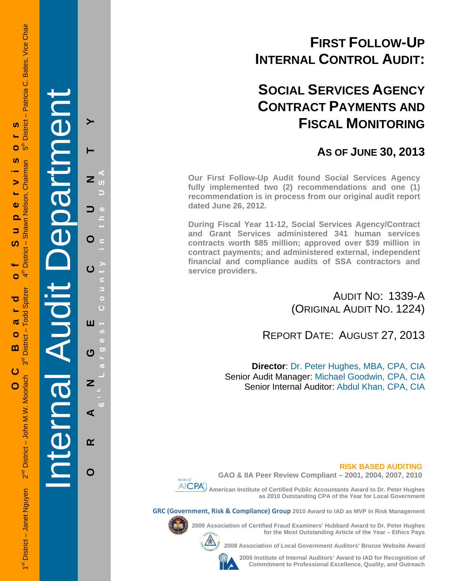# **FIRST FOLLOW-UP INTERNAL CONTROL AUDIT:**

# **SOCIAL SERVICES AGENCY CONTRACT PAYMENTS AND FISCAL MONITORING**

# **AS OF JUNE 30, 2013**

**Our First Follow-Up Audit found Social Services Agency fully implemented two (2) recommendations and one (1) recommendation is in process from our original audit report dated June 26, 2012.** 

**During Fiscal Year 11-12, Social Services Agency/Contract and Grant Services administered 341 human services contracts worth \$85 million; approved over \$39 million in contract payments; and administered external, independent financial and compliance audits of SSA contractors and service providers.** 

> AUDIT NO: 1339-A (ORIGINAL AUDIT NO. 1224)

REPORT DATE: AUGUST 27, 2013

**Director**: Dr. Peter Hughes, MBA, CPA, CIA Senior Audit Manager: Michael Goodwin, CPA, CIA Senior Internal Auditor: Abdul Khan, CPA, CIA

## **RISK BASED AUDITING**



**GAO & IIA Peer Review Compliant – 2001, 2004, 2007, 2010** 

 **American Institute of Certified Public Accountants Award to Dr. Peter Hughes as 2010 Outstanding CPA of the Year for Local Government** 

**GRC (Government, Risk & Compliance) Group 2010 Award to IAD as MVP in Risk Management** 



**2009 Association of Certified Fraud Examiners' Hubbard Award to Dr. Peter Hughes** 



**2008 Association of Local Government Auditors' Bronze Website Award** 



**2005 Institute of Internal Auditors' Award to IAD for Recognition of Commitment to Professional Excellence, Quality, and Outreach**

**for the Most Outstanding Article of the Year – Ethics Pays** 

1st District – Janet Nguyen 2<sup>nd</sup> District – John M.W. Moorlach 3<sup>rd</sup> District – Todd Spitzer 4th District – Shawn Nelson, Chairman 5th District – Patricia C. Bates, Vice Chair - Patricia C. Bates, Vice Chair **District** Ŵ **OC Board of Supervisors** ⊕ً Ō <u>ທ</u> District - Shawn Nelson, Chairman  $\ddot{\mathbf{0}}$ ൎ 5  $\mathbf{f}^{\mathsf{E}}$ - Todd Spitzer ൹  $\bullet$ **District**  $\mathbf{m}$  $3<sup>d</sup>$ 2<sup>nd</sup> District - John M.W. Moorlach 1<sup>st</sup> District - Janet Nguyen

 $\blacktriangleright$ 

ഗ

Ó

ರ

ပ

 $\overline{O}$ 

Internal Audit Department

**ORANGE COUNTY 6 t h Lar**

ш

ෆ

Z

⋖

 $\alpha$ 

O

**g**

**est Count**

**y in the USA** 

 $\overline{z}$ 

O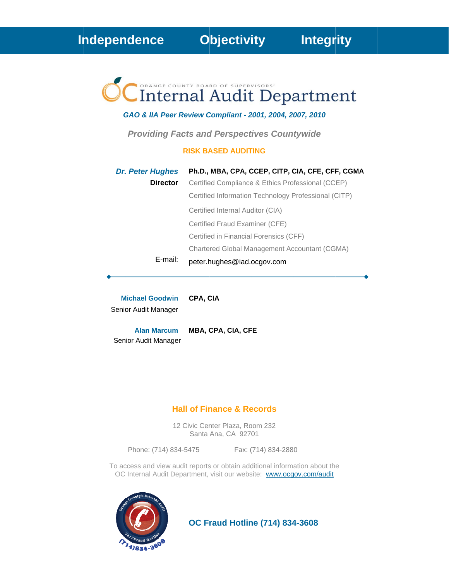# Internal Audit Department

## GAO & IIA Peer Review Compliant - 2001, 2004, 2007, 2010

**Providing Facts and Perspectives Countywide** 

#### **RISK BASED AUDITING**

| <b>Dr. Peter Hughes</b> | Ph.D., MBA, CPA, CCEP, CITP, CIA, CFE, CFF, CGMA     |
|-------------------------|------------------------------------------------------|
| <b>Director</b>         | Certified Compliance & Ethics Professional (CCEP)    |
|                         | Certified Information Technology Professional (CITP) |
|                         | Certified Internal Auditor (CIA)                     |
|                         | Certified Fraud Examiner (CFE)                       |
|                         | Certified in Financial Forensics (CFF)               |
|                         | Chartered Global Management Accountant (CGMA)        |
| E-mail:                 | peter.hughes@iad.ocgov.com                           |

**Michael Goodwin** CPA, CIA Senior Audit Manager

MBA, CPA, CIA, CFE **Alan Marcum** Senior Audit Manager

# **Hall of Finance & Records**

12 Civic Center Plaza, Room 232 Santa Ana, CA 92701

Phone: (714) 834-5475

Fax: (714) 834-2880

To access and view audit reports or obtain additional information about the OC Internal Audit Department, visit our website: www.ocgov.com/audit



**OC Fraud Hotline (714) 834-3608**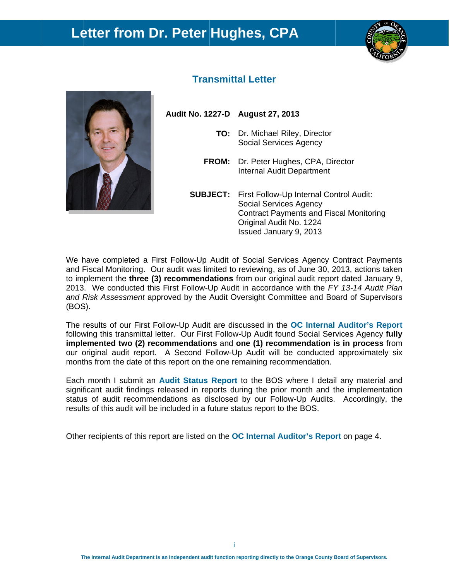# Letter from Dr. Peter Hughes, CPA





# **Transmittal Letter**

Audit No. 1227-D August 27, 2013

- TO: Dr. Michael Riley, Director **Social Services Agency**
- FROM: Dr. Peter Hughes, CPA, Director **Internal Audit Department**
- **SUBJECT:** First Follow-Up Internal Control Audit: **Social Services Agency Contract Payments and Fiscal Monitoring** Original Audit No. 1224 Issued January 9, 2013

We have completed a First Follow-Up Audit of Social Services Agency Contract Payments and Fiscal Monitoring. Our audit was limited to reviewing, as of June 30, 2013, actions taken to implement the three (3) recommendations from our original audit report dated January 9. 2013. We conducted this First Follow-Up Audit in accordance with the FY 13-14 Audit Plan and Risk Assessment approved by the Audit Oversight Committee and Board of Supervisors (BOS).

The results of our First Follow-Up Audit are discussed in the OC Internal Auditor's Report following this transmittal letter. Our First Follow-Up Audit found Social Services Agency fully implemented two (2) recommendations and one (1) recommendation is in process from our original audit report. A Second Follow-Up Audit will be conducted approximately six months from the date of this report on the one remaining recommendation.

Each month I submit an Audit Status Report to the BOS where I detail any material and significant audit findings released in reports during the prior month and the implementation status of audit recommendations as disclosed by our Follow-Up Audits. Accordingly, the results of this audit will be included in a future status report to the BOS.

Other recipients of this report are listed on the OC Internal Auditor's Report on page 4.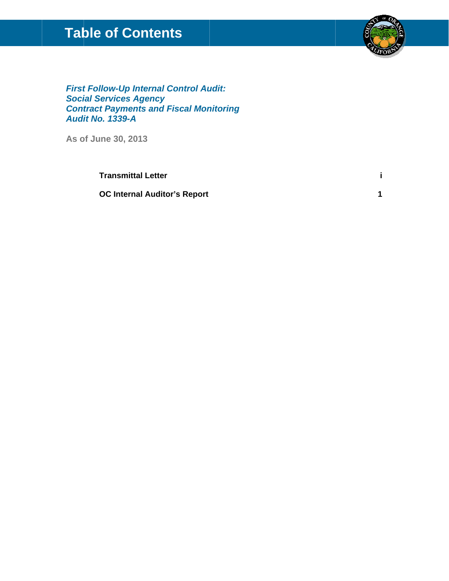# **Table of Contents**



 $\mathbf{i}$ 

 $\overline{1}$ 

**First Follow-Up Internal Control Audit: Social Services Agency Contract Payments and Fiscal Monitoring Audit No. 1339-A** 

As of June 30, 2013

**Transmittal Letter** 

**OC Internal Auditor's Report**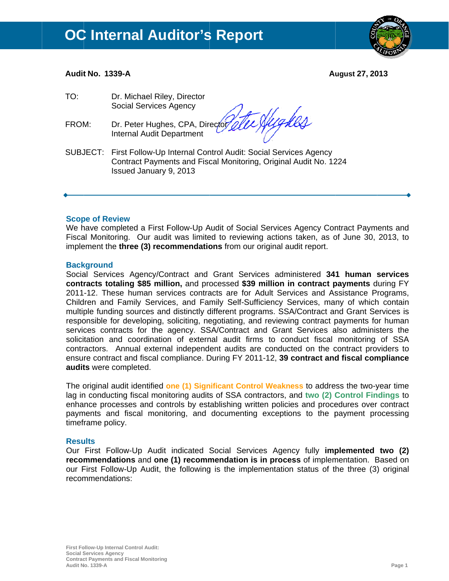

# Audit No. 1339-A

**August 27, 2013** 

| TO:   | Dr. Michael Riley, Director<br><b>Social Services Agency</b>                                                                                                          |
|-------|-----------------------------------------------------------------------------------------------------------------------------------------------------------------------|
| FROM: | Dr. Peter Hughes, CPA, Director elle Wughes<br><b>Internal Audit Department</b>                                                                                       |
|       | SUBJECT: First Follow-Up Internal Control Audit: Social Services Agency<br>Contract Payments and Fiscal Monitoring, Original Audit No. 1224<br>Issued January 9, 2013 |

## **Scope of Review**

We have completed a First Follow-Up Audit of Social Services Agency Contract Payments and Fiscal Monitoring. Our audit was limited to reviewing actions taken, as of June 30, 2013, to implement the three (3) recommendations from our original audit report.

#### **Background**

Social Services Agency/Contract and Grant Services administered 341 human services contracts totaling \$85 million, and processed \$39 million in contract payments during FY 2011-12. These human services contracts are for Adult Services and Assistance Programs, Children and Family Services, and Family Self-Sufficiency Services, many of which contain multiple funding sources and distinctly different programs. SSA/Contract and Grant Services is responsible for developing, soliciting, negotiating, and reviewing contract payments for human services contracts for the agency. SSA/Contract and Grant Services also administers the solicitation and coordination of external audit firms to conduct fiscal monitoring of SSA contractors. Annual external independent audits are conducted on the contract providers to ensure contract and fiscal compliance. During FY 2011-12, 39 contract and fiscal compliance audits were completed.

The original audit identified one (1) Significant Control Weakness to address the two-year time lag in conducting fiscal monitoring audits of SSA contractors, and two (2) Control Findings to enhance processes and controls by establishing written policies and procedures over contract payments and fiscal monitoring, and documenting exceptions to the payment processing timeframe policy.

## **Results**

Our First Follow-Up Audit indicated Social Services Agency fully **implemented two (2)** recommendations and one (1) recommendation is in process of implementation. Based on our First Follow-Up Audit, the following is the implementation status of the three (3) original recommendations: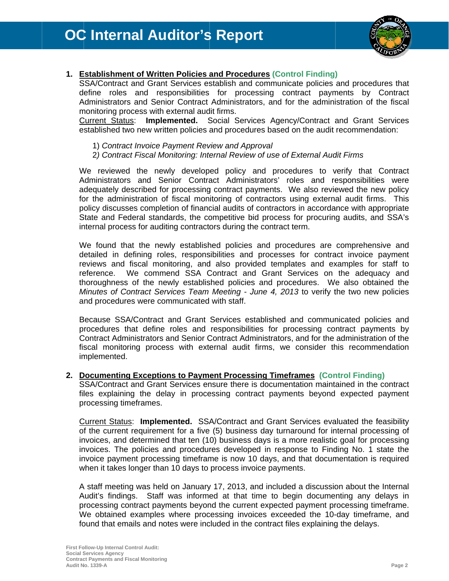

# 1. Establishment of Written Policies and Procedures (Control Finding)

SSA/Contract and Grant Services establish and communicate policies and procedures that define roles and responsibilities for processing contract payments by Contract Administrators and Senior Contract Administrators, and for the administration of the fiscal monitoring process with external audit firms.

Current Status: Implemented. Social Services Agency/Contract and Grant Services established two new written policies and procedures based on the audit recommendation:

- 1) Contract Invoice Payment Review and Approval
- 2) Contract Fiscal Monitoring: Internal Review of use of External Audit Firms

We reviewed the newly developed policy and procedures to verify that Contract Administrators and Senior Contract Administrators' roles and responsibilities were adequately described for processing contract payments. We also reviewed the new policy for the administration of fiscal monitoring of contractors using external audit firms. This policy discusses completion of financial audits of contractors in accordance with appropriate State and Federal standards, the competitive bid process for procuring audits, and SSA's internal process for auditing contractors during the contract term.

We found that the newly established policies and procedures are comprehensive and detailed in defining roles, responsibilities and processes for contract invoice payment reviews and fiscal monitoring, and also provided templates and examples for staff to reference. We commend SSA Contract and Grant Services on the adequacy and thoroughness of the newly established policies and procedures. We also obtained the Minutes of Contract Services Team Meeting - June 4, 2013 to verify the two new policies and procedures were communicated with staff.

Because SSA/Contract and Grant Services established and communicated policies and procedures that define roles and responsibilities for processing contract payments by Contract Administrators and Senior Contract Administrators, and for the administration of the fiscal monitoring process with external audit firms, we consider this recommendation implemented.

## 2. Documenting Exceptions to Payment Processing Timeframes (Control Finding)

SSA/Contract and Grant Services ensure there is documentation maintained in the contract files explaining the delay in processing contract payments beyond expected payment processing timeframes.

Current Status: Implemented. SSA/Contract and Grant Services evaluated the feasibility of the current requirement for a five (5) business day turnaround for internal processing of invoices, and determined that ten (10) business days is a more realistic goal for processing invoices. The policies and procedures developed in response to Finding No. 1 state the invoice payment processing timeframe is now 10 days, and that documentation is required when it takes longer than 10 days to process invoice payments.

A staff meeting was held on January 17, 2013, and included a discussion about the Internal Audit's findings. Staff was informed at that time to begin documenting any delays in processing contract payments beyond the current expected payment processing timeframe. We obtained examples where processing invoices exceeded the 10-day timeframe, and found that emails and notes were included in the contract files explaining the delays.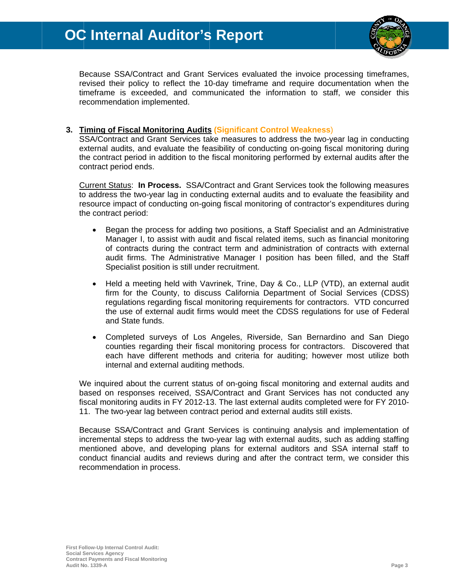

Because SSA/Contract and Grant Services evaluated the invoice processing timeframes, revised their policy to reflect the 10-day timeframe and require documentation when the timeframe is exceeded, and communicated the information to staff, we consider this recommendation implemented.

# 3. Timing of Fiscal Monitoring Audits (Significant Control Weakness)

SSA/Contract and Grant Services take measures to address the two-vear lag in conducting external audits, and evaluate the feasibility of conducting on-going fiscal monitoring during the contract period in addition to the fiscal monitoring performed by external audits after the contract period ends.

Current Status: In Process. SSA/Contract and Grant Services took the following measures to address the two-year lag in conducting external audits and to evaluate the feasibility and resource impact of conducting on-going fiscal monitoring of contractor's expenditures during the contract period:

- Began the process for adding two positions, a Staff Specialist and an Administrative  $\bullet$ Manager I, to assist with audit and fiscal related items, such as financial monitoring of contracts during the contract term and administration of contracts with external audit firms. The Administrative Manager I position has been filled, and the Staff Specialist position is still under recruitment.
- Held a meeting held with Vavrinek, Trine, Day & Co., LLP (VTD), an external audit  $\bullet$ firm for the County, to discuss California Department of Social Services (CDSS) regulations regarding fiscal monitoring requirements for contractors. VTD concurred the use of external audit firms would meet the CDSS regulations for use of Federal and State funds.
- Completed surveys of Los Angeles, Riverside, San Bernardino and San Diego  $\bullet$ counties regarding their fiscal monitoring process for contractors. Discovered that each have different methods and criteria for auditing; however most utilize both internal and external auditing methods.

We inquired about the current status of on-going fiscal monitoring and external audits and based on responses received, SSA/Contract and Grant Services has not conducted any fiscal monitoring audits in FY 2012-13. The last external audits completed were for FY 2010-11. The two-year lag between contract period and external audits still exists.

Because SSA/Contract and Grant Services is continuing analysis and implementation of incremental steps to address the two-year lag with external audits, such as adding staffing mentioned above, and developing plans for external auditors and SSA internal staff to conduct financial audits and reviews during and after the contract term, we consider this recommendation in process.